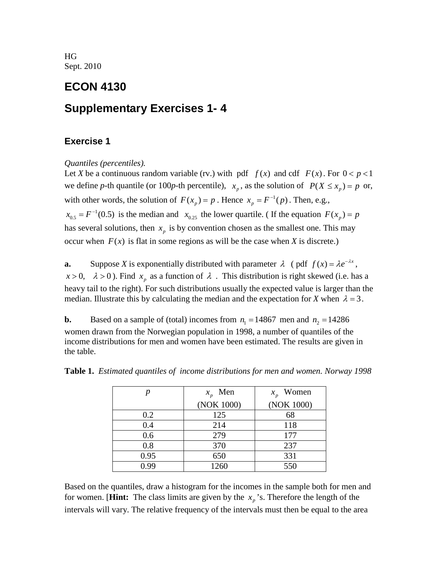HG Sept. 2010

## **ECON 4130**

# **Supplementary Exercises 1- 4**

## **Exercise 1**

*Quantiles (percentiles).*

Let *X* be a continuous random variable (rv.) with pdf  $f(x)$  and cdf  $F(x)$ . For  $0 < p < 1$ we define *p*-th quantile (or 100*p*-th percentile),  $x_p$ , as the solution of  $P(X \le x_p) = p$  or, with other words, the solution of  $F(x_p) = p$ . Hence  $x_p = F^{-1}(p)$ . Then, e.g.,  $x_{0.5} = F^{-1}(0.5)$  is the median and  $x_{0.25}$  the lower quartile. (If the equation  $F(x_p) = p$ has several solutions, then  $x<sub>n</sub>$  is by convention chosen as the smallest one. This may occur when  $F(x)$  is flat in some regions as will be the case when *X* is discrete.)

**a.** Suppose *X* is exponentially distributed with parameter  $\lambda$  (pdf  $f(x) = \lambda e^{-\lambda x}$ ,  $x > 0$ ,  $\lambda > 0$ ). Find  $x_p$  as a function of  $\lambda$ . This distribution is right skewed (i.e. has a heavy tail to the right). For such distributions usually the expected value is larger than the median. Illustrate this by calculating the median and the expectation for *X* when  $\lambda = 3$ .

**b.** Based on a sample of (total) incomes from  $n_1 = 14867$  men and  $n_2 = 14286$ women drawn from the Norwegian population in 1998, a number of quantiles of the income distributions for men and women have been estimated. The results are given in the table.

| n    | $x_p$ Men  | $x_p$ Women |
|------|------------|-------------|
|      | (NOK 1000) | (NOK 1000)  |
| 0.2  | 125        | 68          |
| 0.4  | 214        | 118         |
| 0.6  | 279        | 177         |
| 0.8  | 370        | 237         |
| 0.95 | 650        | 331         |
| 0.99 | 1260       | 550         |

**Table 1.** *Estimated quantiles of income distributions for men and women. Norway 1998*

Based on the quantiles, draw a histogram for the incomes in the sample both for men and for women. [**Hint:** The class limits are given by the  $x<sub>n</sub>$ 's. Therefore the length of the intervals will vary. The relative frequency of the intervals must then be equal to the area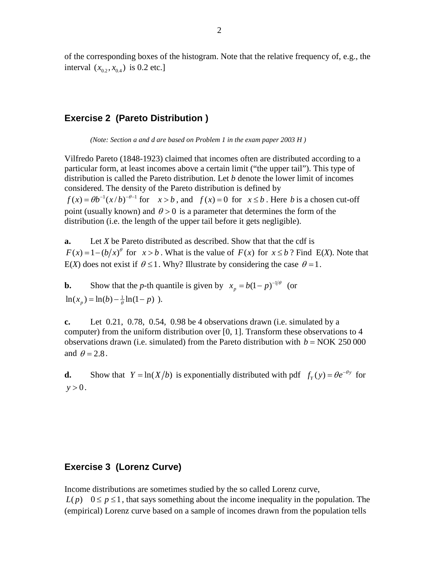of the corresponding boxes of the histogram. Note that the relative frequency of, e.g., the interval  $(x_{0.2}, x_{0.4})$  is 0.2 etc.]

## **Exercise 2 (Pareto Distribution )**

*(Note: Section a and d are based on Problem 1 in the exam paper 2003 H )*

Vilfredo Pareto (1848-1923) claimed that incomes often are distributed according to a particular form, at least incomes above a certain limit ("the upper tail"). This type of distribution is called the Pareto distribution. Let *b* denote the lower limit of incomes considered. The density of the Pareto distribution is defined by  $f(x) = \theta b^{-1} (x/b)^{-\theta-1}$  for  $x > b$ , and  $f(x) = 0$  for  $x \le b$ . Here *b* is a chosen cut-off point (usually known) and  $\theta > 0$  is a parameter that determines the form of the distribution (i.e. the length of the upper tail before it gets negligible).

**a.** Let *X* be Pareto distributed as described. Show that that the cdf is  $F(x) = 1 - (b/x)^{\theta}$  for  $x > b$ . What is the value of  $F(x)$  for  $x \le b$ ? Find E(*X*). Note that E(*X*) does not exist if  $\theta \le 1$ . Why? Illustrate by considering the case  $\theta = 1$ .

**b.** Show that the *p*-th quantile is given by  $x_p = b(1 - p)^{-1/\theta}$  (or  $\ln(x_n) = \ln(b) - \frac{1}{\theta} \ln(1 - p)$ .

**c.** Let 0.21, 0.78, 0.54, 0.98 be 4 observations drawn (i.e. simulated by a computer) from the uniform distribution over [0, 1]. Transform these observations to 4 observations drawn (i.e. simulated) from the Pareto distribution with  $b = NOK 250 000$ and  $\theta = 2.8$ .

**d.** Show that  $Y = \ln(X/b)$  is exponentially distributed with pdf  $f_Y(y) = \theta e^{-\theta y}$  for  $y > 0$ .

### **Exercise 3 (Lorenz Curve)**

Income distributions are sometimes studied by the so called Lorenz curve,  $L(p)$   $0 \le p \le 1$ , that says something about the income inequality in the population. The (empirical) Lorenz curve based on a sample of incomes drawn from the population tells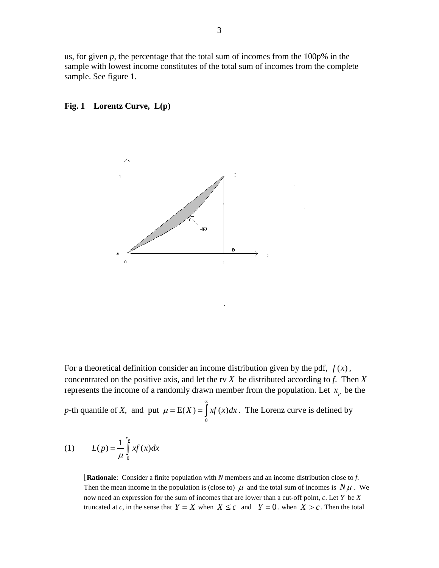us, for given  $p$ , the percentage that the total sum of incomes from the  $100p\%$  in the sample with lowest income constitutes of the total sum of incomes from the complete sample. See figure 1.

#### **Fig. 1 Lorentz Curve, L(p)**



For a theoretical definition consider an income distribution given by the pdf,  $f(x)$ , concentrated on the positive axis, and let the rv *X* be distributed according to *f*. Then *X* represents the income of a randomly drawn member from the population. Let  $x_p$  be the

*p*-th quantile of *X*, and put  $\mathbf{0}$  $\mu = E(X) = | xf(x) dx$ ∞  $= E(X) = \int xf(x)dx$ . The Lorenz curve is defined by

(1) 
$$
L(p) = \frac{1}{\mu} \int_{0}^{x_p} x f(x) dx
$$

[**Rationale**: Consider a finite population with *N* members and an income distribution close to *f*. Then the mean income in the population is (close to)  $\mu$  and the total sum of incomes is  $N\mu$ . We now need an expression for the sum of incomes that are lower than a cut-off point, *c*. Let *Y* be *X* truncated at *c*, in the sense that  $Y = X$  when  $X \leq c$  and  $Y = 0$ , when  $X > c$ . Then the total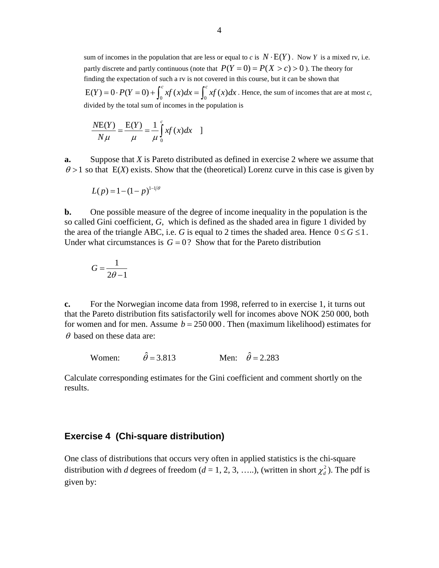sum of incomes in the population that are less or equal to *c* is  $N \cdot E(Y)$ . Now *Y* is a mixed rv, i.e. partly discrete and partly continuous (note that  $P(Y = 0) = P(X > c) > 0$ ). The theory for finding the expectation of such a rv is not covered in this course, but it can be shown that  $E(Y) = 0 \cdot P(Y = 0) + \int_0^c xf(x)dx = \int_0^c xf(x)dx$ . Hence, the sum of incomes that are at most *c*, divided by the total sum of incomes in the population is

$$
\frac{N\mathcal{E}(Y)}{N\mu} = \frac{\mathcal{E}(Y)}{\mu} = \frac{1}{\mu} \int_{0}^{c} xf(x)dx
$$

**a.** Suppose that *X* is Pareto distributed as defined in exercise 2 where we assume that  $\theta$  > 1 so that E(*X*) exists. Show that the (theoretical) Lorenz curve in this case is given by

$$
L(p) = 1 - (1 - p)^{1 - 1/\theta}
$$

**b.** One possible measure of the degree of income inequality in the population is the so called Gini coefficient, *G*, which is defined as the shaded area in figure 1 divided by the area of the triangle ABC, i.e. *G* is equal to 2 times the shaded area. Hence  $0 \le G \le 1$ . Under what circumstances is  $G = 0$ ? Show that for the Pareto distribution

$$
G = \frac{1}{2\theta - 1}
$$

**c.** For the Norwegian income data from 1998, referred to in exercise 1, it turns out that the Pareto distribution fits satisfactorily well for incomes above NOK 250 000, both for women and for men. Assume  $b = 250,000$ . Then (maximum likelihood) estimates for  $\theta$  based on these data are:

Women:  $\hat{\theta} = 3.813$  Men:  $\hat{\theta} = 2.283$ 

Calculate corresponding estimates for the Gini coefficient and comment shortly on the results.

#### **Exercise 4 (Chi-square distribution)**

One class of distributions that occurs very often in applied statistics is the chi-square distribution with *d* degrees of freedom (*d* = 1, 2, 3, …..), (written in short  $\chi_d^2$ ). The pdf is given by: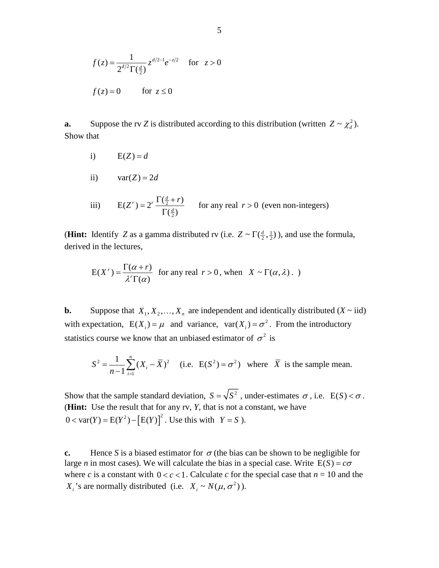$$
f(z) = \frac{1}{2^{d/2} \Gamma(\frac{d}{2})} z^{d/2 - 1} e^{-z/2} \quad \text{for } z > 0
$$
  

$$
f(z) = 0 \qquad \text{for } z \le 0
$$

**a.** Suppose the rv *Z* is distributed according to this distribution (written  $Z \sim \chi_d^2$ ). Show that

i) 
$$
E(Z) = d
$$

ii)  $var(Z) = 2d$ 

iii) 
$$
E(Z^r) = 2^r \frac{\Gamma(\frac{d}{2} + r)}{\Gamma(\frac{d}{2})}
$$
 for any real  $r > 0$  (even non-integers)

(**Hint:** Identify *Z* as a gamma distributed rv (i.e.  $Z \sim \Gamma(\frac{d}{2}, \frac{1}{2})$ ), and use the formula, derived in the lectures,

$$
E(X^r) = \frac{\Gamma(\alpha + r)}{\lambda^r \Gamma(\alpha)}
$$
 for any real  $r > 0$ , when  $X \sim \Gamma(\alpha, \lambda)$ .

**b.** Suppose that  $X_1, X_2, ..., X_n$  are independent and identically distributed  $(X \sim \text{iid})$ with expectation,  $E(X_i) = \mu$  and variance,  $var(X_i) = \sigma^2$ . From the introductory statistics course we know that an unbiased estimator of  $\sigma^2$  is

$$
S^{2} = \frac{1}{n-1} \sum_{i=1}^{n} (X_{i} - \overline{X})^{2}
$$
 (i.e.  $E(S^{2}) = \sigma^{2}$ ) where  $\overline{X}$  is the sample mean.

Show that the sample standard deviation,  $S = \sqrt{S^2}$ , under-estimates  $\sigma$ , i.e.  $E(S) < \sigma$ . (**Hint:** Use the result that for any rv, *Y*, that is not a constant, we have  $0 < \text{var}(Y) = E(Y^2) - [E(Y)]^2$ . Use this with  $Y = S$ ).

**c.** Hence *S* is a biased estimator for  $\sigma$  (the bias can be shown to be negligible for large *n* in most cases). We will calculate the bias in a special case. Write  $E(S) = c\sigma$ where *c* is a constant with  $0 < c < 1$ . Calculate *c* for the special case that  $n = 10$  and the *X<sub>i</sub>*'s are normally distributed (i.e.  $X_i \sim N(\mu, \sigma^2)$ ).